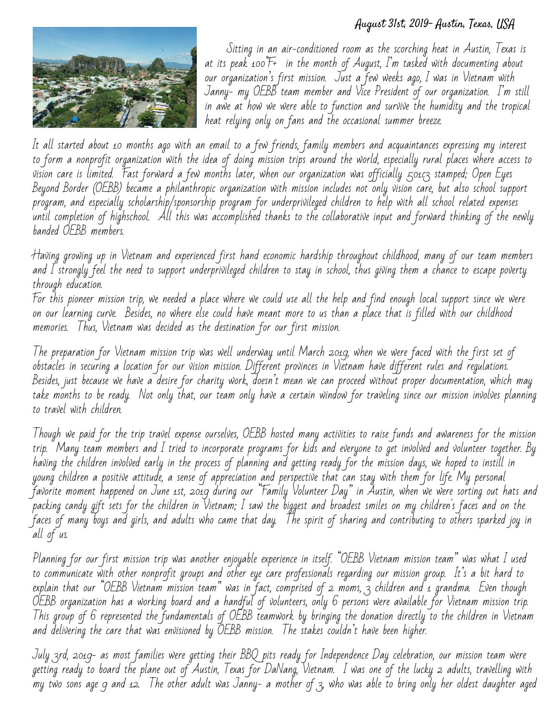## August 31st, 2019- Austin, Texas, USA



Sitting in an air-conditioned room as the scorching heat in Austin, Texas is at its peak 100 $F_{+}$  in the month of August, I'm tasked with documenting about our organization's first mission. Just a few weeks ago, I was in Vietnam with Janny- my OEBB team member and Vice President of our organization. I'm still in awe at how we were able to function and survive the humidity and the tropical heat relying only on fans and the occasional summer breeze.

It all started about 10 months ago with an email to a few friends, family members and acquaintances expressing my interest to form a nonprofit organization with the idea of doing mission trips around the world, especially rural places where access to vision care is limited. Fast forward a few months later, when our organization was of icially 501c3 stamped; Open Eyes Beyond Border (OEBB) became a philanthropic organization with mission includes not only vision care, but also school support program, and especially scholarship/sponsorship program for underprivileged children to help with all school related expenses 'until completion' of highschool. "All this was accomplished thanks to the collaborative input and forward thinking of the newly banded OEBB members.

Having growing up in Vietnam and experienced first hand economic hardship throughout childhood, many of our team members and I strongly feel the need to support underprivileged children to stay in school, thus giving them a chance to escape poverty through education.

For this pioneer mission trip, we needed a place where we could use all the help and find enough local support since we were on our learning curve. Besides, no where else could have meant more to us than a place that is filled with our childhood memories. Thus, Vietnam was decided as the destination for our first mission.

The preparation for Vietnam mission trip was well underway until March 2019, when we were faced with the first set of obstacles in securing a location for our vision mission. Different provinces in Vietnam have different rules and regulations. Besides, just because we have a desire for charity work, doesn't mean we can proceed without proper documentation, which may take months to be ready. Not only that, our team only have a certain window for traveling since our mission involves planning to travel with children.

Though we paid for the trip travel expense ourselves, OEBB hosted many activities to raise funds and awareness for the mission trip. Many team members and I tried to incorporate programs for kids and everyone to get involved and volunteer together. By having the children involved early in the process of planning and getting ready for the mission days, we hoped to instill in young children a positive attitude, a sense of appreciation and perspective that can stay with them for life. My personal favorite moment happened on June 1st, 2019 during our "Family Volunteer Day" in Austin, when we were sorting out hats and packing candy gift sets for the children in Vietnam; I saw the biggest and broadest smiles on my children's faces and on the faces of many boys and girls, and adults who came that day. The spirit of sharing and contributing to others sparked joy in all of us.

Planning for our first mission trip was another enjoyable experience in itself. "OEBB Vietnam mission team" was what I used to communicate with other nonprofit groups and other eye care professionals regarding our mission group. It's a bit hard to explain that our "OEBB Vietnam mission team" was in fact, comprised of 2 moms, 3 children and 1 grandma. Even though OEBB organization has a working board and a handful of volunteers, only 6 persons were available for Vietnam mission trip. This group of 6 represented the fundamentals of OEBB teamwork by bringing the donation directly to the children in Vietnam and delivering the care that was envisioned by OEBB mission. The stakes couldn't have been higher.

July 3rd, 2019- as most families were getting their BBQ pits ready for Independence Day celebration, our mission team were getting ready to board the plane out of Austin, Texas for DaNang, Vietnam." I was one of the lucky 2 adults, travelling with my two sons age 9 and 12. The other adult was Janny- a mother of 3, who was able to bring only her oldest daughter aged